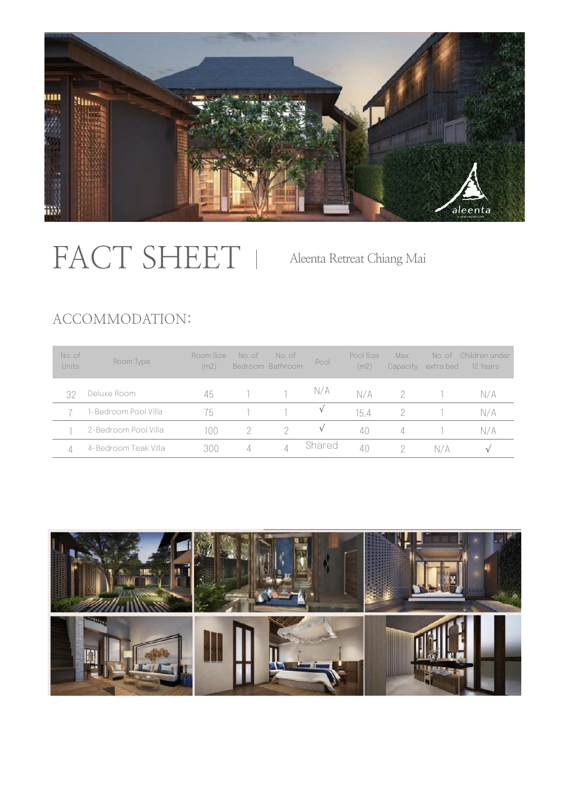

# FACT SHEET

Aleenta Retreat Chiang Mai

# ACCOMMODATION:

| No. of<br>Units | Room Type            | Room Size<br>(m2) | No. of | No. of<br>Bedroom Bathroom | Pool   | Pool Size<br>(m2) | Max.<br>Capacity | No. of<br>extra bed | Children under<br>12 Years |
|-----------------|----------------------|-------------------|--------|----------------------------|--------|-------------------|------------------|---------------------|----------------------------|
| 32              | Deluxe Room          | 45                |        |                            | N/A    | N/A               |                  |                     | N/A                        |
|                 | 1-Bedroom Pool Villa | 75                |        |                            |        | 154               |                  |                     | N/A                        |
|                 | 2-Bedroom Pool Villa | 100               |        |                            |        | 40                |                  |                     | N/A                        |
|                 | 4-Bedroom Teak Villa | 300               | 4      | 4                          | Shared | 40                |                  | N7A                 | $\sqrt{ }$                 |